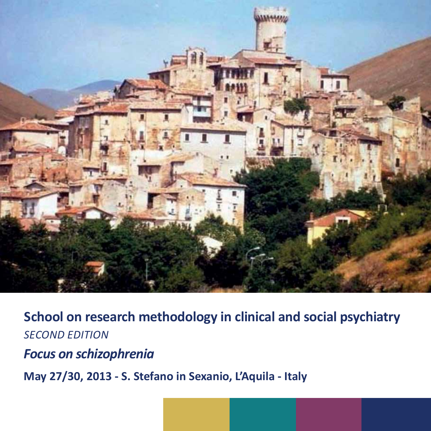

**School on research methodology in clinical and social psychiatry** *Second edition*

*Focus on schizophrenia* 

**May 27/30, 2013 - S. Stefano in Sexanio, L'Aquila - Italy**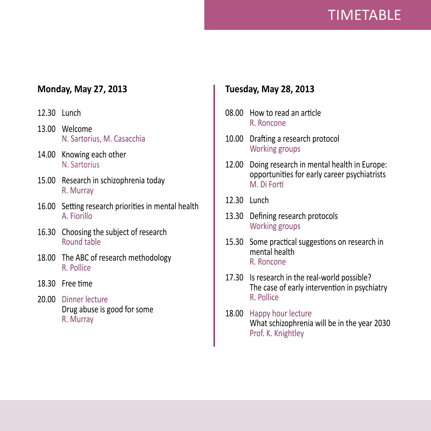# TIMETABLE

## **Monday, May 27, 2013**

- 12.30 Lunch
- 13.00 Welcome N. Sartorius, M. Casacchia
- 14.00 Knowing each other N. Sartorius
- 15.00 Research in schizophrenia today R. Murray
- 16.00 Setting research priorities in mental health A. Fiorillo
- 16.30 Choosing the subject of research Round table
- 18.00 The ABC of research methodology R. Pollice
- 18.30 Free time
- 20.00 Dinner lecture Drug abuse is good for some R. Murray

## **Tuesday, May 28, 2013**

- 08.00 How to read an article R. Roncone
- 10.00 Drafting a research protocol Working groups
- 12.00 Doing research in mental health in Europe: opportunities for early career psychiatrists M. Di Forti
- 12.30 Lunch
- 13.30 Defining research protocols Working groups
- 15.30 Some practical suggestions on research in mental health R. Roncone
- 17.30 Is research in the real-world possible? The case of early intervention in psychiatry R. Pollice
- 18.00 Happy hour lecture What schizophrenia will be in the year 2030 Prof. K. Knightley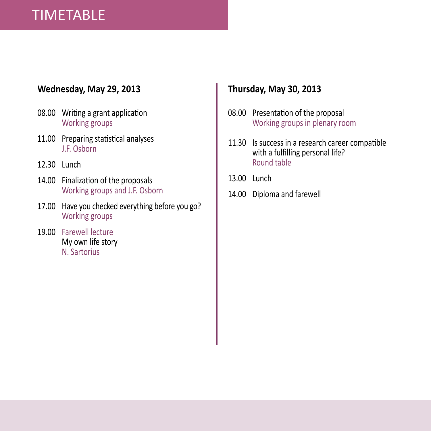# TIMETABLE

## **Wednesday, May 29, 2013**

- 08.00 Writing a grant application Working groups
- 11.00 Preparing statistical analyses J.F. Osborn
- 12.30 Lunch
- 14.00 Finalization of the proposals Working groups and J.F. Osborn
- 17.00 Have you checked everything before you go? Working groups
- 19.00 Farewell lecture My own life story N. Sartorius

## **Thursday, May 30, 2013**

- 08.00 Presentation of the proposal Working groups in plenary room
- 11.30 Is success in a research career compatible with a fulfilling personal life? Round table
- 13.00 Lunch
- 14.00 Diploma and farewell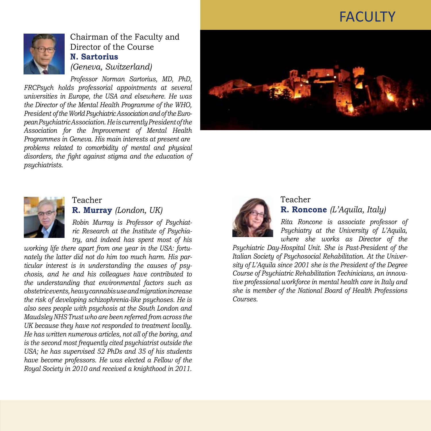# **FACULTY**



Chairman of the Faculty and Director of the Course **N. Sartorius**  *(Geneva, Switzerland)*

*Professor Norman Sartorius, MD, PhD, FRCPsych holds professorial appointments at several universities in Europe, the USA and elsewhere. He was the Director of the Mental Health Programme of the WHO, President of the World Psychiatric Association and of the European Psychiatric Association. He is currently President of the Association for the Improvement of Mental Health Programmes in Geneva. His main interests at present are problems related to comorbidity of mental and physical disorders, the fight against stigma and the education of psychiatrists.*





#### Teacher **R. Murray** *(London, UK)*

*Robin Murray is Professor of Psychiatric Research at the Institute of Psychiatry, and indeed has spent most of his* 

*working life there apart from one year in the USA: fortunately the latter did not do him too much harm. His particular interest is in understanding the causes of psychosis, and he and his colleagues have contributed to the understanding that environmental factors such as obstetric events, heavy cannabis use and migration increase the risk of developing schizophrenia-like psychoses. He is also sees people with psychosis at the South London and Maudsley NHS Trust who are been referred from across the UK because they have not responded to treatment locally. He has written numerous articles, not all of the boring, and is the second most frequently cited psychiatrist outside the USA; he has supervised 52 PhDs and 35 of his students have become professors. He was elected a Fellow of the Royal Society in 2010 and received a knighthood in 2011.*



### Teacher **R. Roncone** *(L'Aquila, Italy)*

*Rita Roncone is associate professor of Psychiatry at the University of L'Aquila, where she works as Director of the* 

*Psychiatric Day-Hospital Unit. She is Past-President of the Italian Society of Psychosocial Rehabilitation. At the University of L'Aquila since 2001 she is the President of the Degree Course of Psychiatric Rehabilitation Techinicians, an innovative professional workforce in mental health care in Italy and she is member of the National Board of Health Professions Courses.*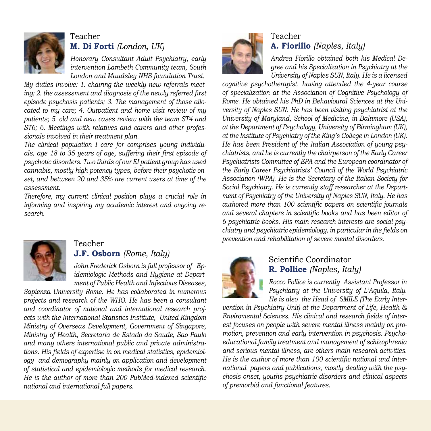

## Teacher **M. Di Forti** *(London, UK)*

*Honorary Consultant Adult Psychiatry, early intervention Lambeth Community team, South London and Maudsley NHS foundation Trust.*

*My duties involve: 1. chairing the weekly new referrals meeting; 2. the assessment and diagnosis of the newly referred first episode psychosis patients; 3. The management of those allocated to my care; 4. Outpatient and home visit review of my patients; 5. old and new cases review with the team ST4 and ST6; 6. Meetings with relatives and carers and other professionals involved in their treatment plan.*

*The clinical population I care for comprises young individuals, age 18 to 35 years of age, suffering their first episode of psychotic disorders. Two thirds of our EI patient group has used cannabis, mostly high potency types, before their psychotic onset, and between 20 and 35% are current users at time of the assessment.*

*Therefore, my current clinical position plays a crucial role in informing and inspiring my academic interest and ongoing research.*



#### Teacher

### **J.F. Osborn** *(Rome, Italy)*

*John Frederick Osborn is full professor of Epidemiologic Methods and Hygiene at Department of Public Health and Infectious Diseases,* 

*Sapienza University Rome. He has collaborated in numerous projects and research of the WHO. He has been a consultant and coordinator of national and international research projects with the International Statistics Institute, United Kingdom Ministry of Overseas Development, Government of Singapore, Ministry of Health, Secretaria de Estado da Saude, Sao Paulo and many others international public and private administrations. His fields of expertise in on medical statistics, epidemiology and demography mainly on application and development of statistical and epidemiologic methods for medical research. He is the author of more than 200 PubMed-indexed scientific national and international full papers.*



## Teacher **A. Fiorillo** *(Naples, Italy)*

*Andrea Fiorillo obtained both his Medical Degree and his Specialization in Psychiatry at the University of Naples SUN, Italy. He is a licensed* 

*cognitive psychotherapist, having attended the 4-year course of specialization at the Association of Cognitive Psychology of Rome. He obtained his PhD in Behavioural Sciences at the University of Naples SUN. He has been visiting psychiatrist at the University of Maryland, School of Medicine, in Baltimore (USA), at the Department of Psychology, University of Birmingham (UK), at the Institute of Psychiatry of the King's College in London (UK). He has been President of the Italian Association of young psychiatrists, and he is currently the chairperson of the Early Career Psychiatrists Committee of EPA and the European coordinator of the Early Career Psychiatrists' Council of the World Psychiatric Association (WPA). He is the Secretary of the Italian Society for Social Psychiatry. He is currently staff researcher at the Department of Psychiatry of the University of Naples SUN, Italy. He has authored more than 100 scientific papers on scientific journals and several chapters in scientific books and has been editor of 6 psychiatric books. His main research interests are social psychiatry and psychiatric epidemiology, in particular in the fields on prevention and rehabilitation of severe mental disorders.*



### Scientific Coordinator **R. Pollice** *(Naples, Italy)*

*Rocco Pollice is currently Assistant Professor in Psychiatry at the University of L'Aquila, Italy. He is also the Head of SMILE (The Early Inter-*

*vention in Psychiatry Unit) at the Department of Life, Health & Enviromental Sciences. His clinical and research fields of interest focuses on people with severe mental illness mainly on promotion, prevention and early intervention in psychosis. Psychoeducational family treatment and management of schizophrenia and serious mental illness, are others main research activities. He is the author of more than 100 scientific national and international papers and publications, mostly dealing with the psychosis onset, youths psychiatric disorders and clinical aspects of premorbid and functional features.*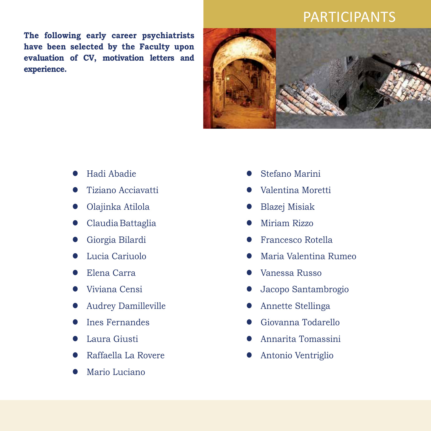## PARTICIPANTS

**The following early career psychiatrists have been selected by the Faculty upon evaluation of CV, motivation letters and experience.** 



- l Hadi Abadie
- l Tiziano Acciavatti
- Olajinka Atilola
- Claudia Battaglia
- Giorgia Bilardi
- Lucia Cariuolo
- Elena Carra
- Viviana Censi
- l Audrey Damilleville
- Ines Fernandes
- Laura Giusti
- l Raffaella La Rovere
- Mario Luciano
- Stefano Marini
- Valentina Moretti
- l Blazej Misiak
- Miriam Rizzo
- Francesco Rotella
- l Maria Valentina Rumeo
- Vanessa Russo
- l Jacopo Santambrogio
- Annette Stellinga
- l Giovanna Todarello
- l Annarita Tomassini
- l Antonio Ventriglio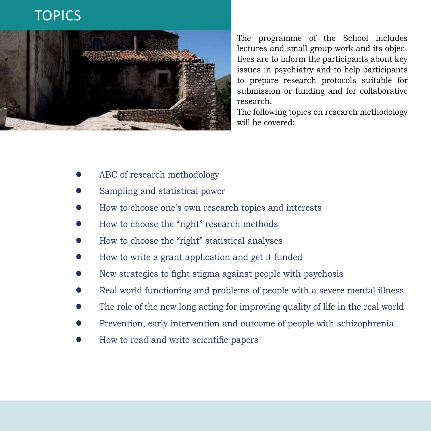## **TOPICS**



The programme of the School includes lectures and small group work and its objectives are to inform the participants about key issues in psychiatry and to help participants to prepare research protocols suitable for submission or funding and for collaborative research.

The following topics on research methodology will be covered:

- ABC of research methodology
- Sampling and statistical power
- How to choose one's own research topics and interests
- l How to choose the "right" research methods
- l How to choose the "right" statistical analyses
- l How to write a grant application and get it funded
- l New strategies to fight stigma against people with psychosis
- Real world functioning and problems of people with a severe mental illness
- The role of the new long acting for improving quality of life in the real world
- Prevention, early intervention and outcome of people with schizophrenia
- l How to read and write scientific papers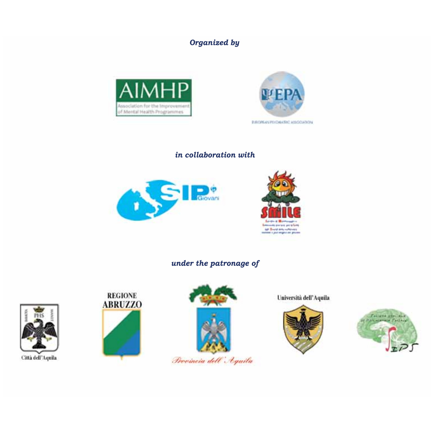*Organized by*





*in collaboration with*





*under the patronage of*



Città dell'Aquila





Provincia dell'Aquila

Università dell'Aquila



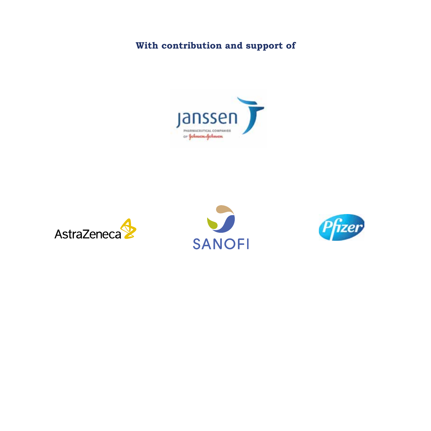## **With contribution and support of**







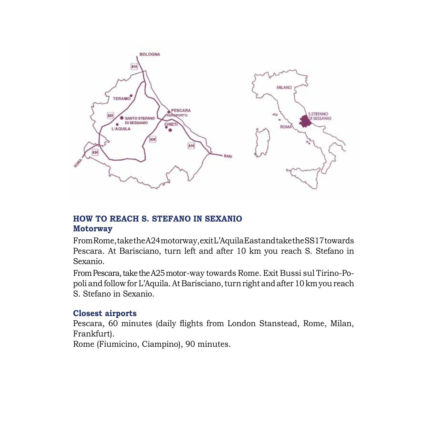

### **How to reach S. Stefano IN SeXanio Motorway**

From Rome, take the A24 motorway, exit L'Aquila East and take the SS17 towards Pescara. At Barisciano, turn left and after 10 km you reach S. Stefano in Sexanio.

From Pescara, take the A25 motor-way towards Rome. Exit Bussi sul Tirino-Popoli and follow for L'Aquila. At Barisciano, turn right and after 10 km you reach S. Stefano in Sexanio.

### **Closest airports**

Pescara, 60 minutes (daily flights from London Stanstead, Rome, Milan, Frankfurt).

Rome (Fiumicino, Ciampino), 90 minutes.